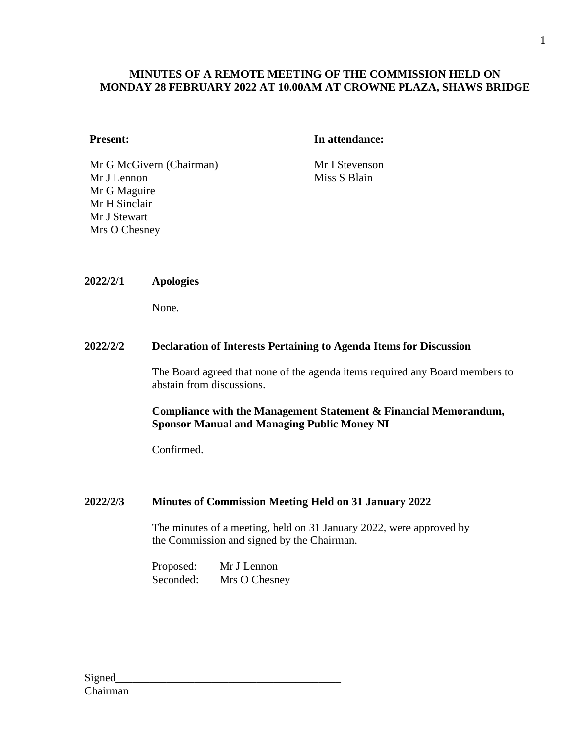## **MINUTES OF A REMOTE MEETING OF THE COMMISSION HELD ON MONDAY 28 FEBRUARY 2022 AT 10.00AM AT CROWNE PLAZA, SHAWS BRIDGE**

### **Present: In attendance:**

Mr G McGivern (Chairman) Mr I Stevenson Mr J Lennon Mr G Maguire Mr H Sinclair Mr J Stewart Mrs O Chesney

Miss S Blain

#### **2022/2/1 Apologies**

None.

### **2022/2/2 Declaration of Interests Pertaining to Agenda Items for Discussion**

The Board agreed that none of the agenda items required any Board members to abstain from discussions.

## **Compliance with the Management Statement & Financial Memorandum, Sponsor Manual and Managing Public Money NI**

Confirmed.

#### **2022/2/3 Minutes of Commission Meeting Held on 31 January 2022**

The minutes of a meeting, held on 31 January 2022, were approved by the Commission and signed by the Chairman.

Proposed: Mr J Lennon Seconded: Mrs O Chesney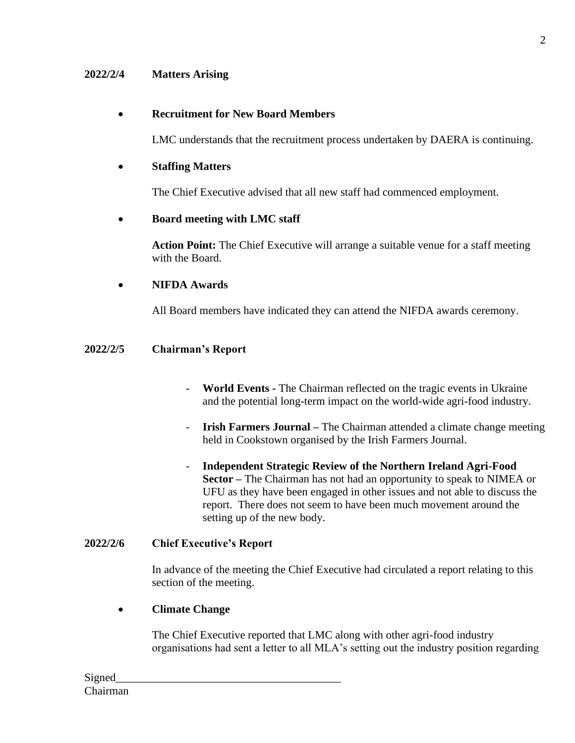## **2022/2/4 Matters Arising**

## • **Recruitment for New Board Members**

LMC understands that the recruitment process undertaken by DAERA is continuing.

## • **Staffing Matters**

The Chief Executive advised that all new staff had commenced employment.

## • **Board meeting with LMC staff**

**Action Point:** The Chief Executive will arrange a suitable venue for a staff meeting with the Board.

## • **NIFDA Awards**

All Board members have indicated they can attend the NIFDA awards ceremony.

#### **2022/2/5 Chairman's Report**

- **World Events -** The Chairman reflected on the tragic events in Ukraine and the potential long-term impact on the world-wide agri-food industry.
- **Irish Farmers Journal –** The Chairman attended a climate change meeting held in Cookstown organised by the Irish Farmers Journal.
- **Independent Strategic Review of the Northern Ireland Agri-Food Sector –** The Chairman has not had an opportunity to speak to NIMEA or UFU as they have been engaged in other issues and not able to discuss the report. There does not seem to have been much movement around the setting up of the new body.

### **2022/2/6 Chief Executive's Report**

In advance of the meeting the Chief Executive had circulated a report relating to this section of the meeting.

#### • **Climate Change**

The Chief Executive reported that LMC along with other agri-food industry organisations had sent a letter to all MLA's setting out the industry position regarding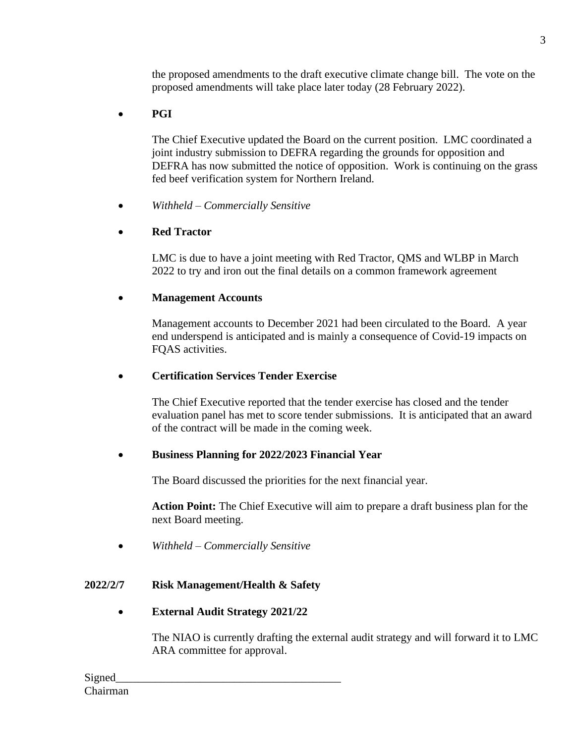the proposed amendments to the draft executive climate change bill. The vote on the proposed amendments will take place later today (28 February 2022).

# • **PGI**

The Chief Executive updated the Board on the current position. LMC coordinated a joint industry submission to DEFRA regarding the grounds for opposition and DEFRA has now submitted the notice of opposition. Work is continuing on the grass fed beef verification system for Northern Ireland.

• *Withheld – Commercially Sensitive*

# • **Red Tractor**

LMC is due to have a joint meeting with Red Tractor, QMS and WLBP in March 2022 to try and iron out the final details on a common framework agreement

# • **Management Accounts**

Management accounts to December 2021 had been circulated to the Board. A year end underspend is anticipated and is mainly a consequence of Covid-19 impacts on FQAS activities.

# • **Certification Services Tender Exercise**

The Chief Executive reported that the tender exercise has closed and the tender evaluation panel has met to score tender submissions. It is anticipated that an award of the contract will be made in the coming week.

# • **Business Planning for 2022/2023 Financial Year**

The Board discussed the priorities for the next financial year.

**Action Point:** The Chief Executive will aim to prepare a draft business plan for the next Board meeting.

• *Withheld – Commercially Sensitive*

# **2022/2/7 Risk Management/Health & Safety**

• **External Audit Strategy 2021/22**

The NIAO is currently drafting the external audit strategy and will forward it to LMC ARA committee for approval.